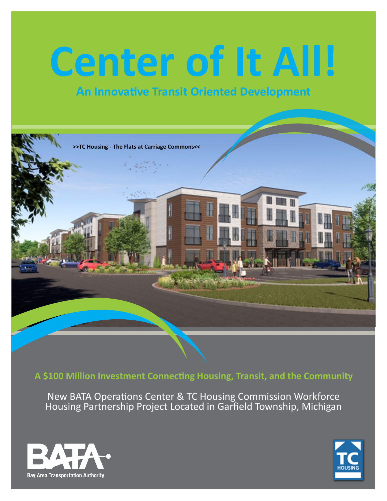# **Center of It All!**

# **An Innovative Transit Oriented Development**



**A \$100 Million Investment Connecting Housing, Transit, and the Community**

New BATA Operations Center & TC Housing Commission Workforce Housing Partnership Project Located in Garfield Township, Michigan



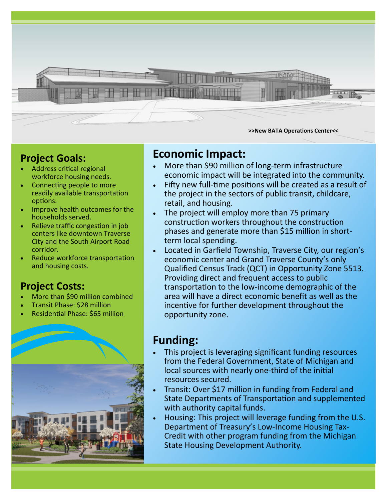

### **Project Goals:**

- Address critical regional workforce housing needs.
- Connecting people to more readily available transportation options.
- Improve health outcomes for the households served.
- Relieve traffic congestion in job centers like downtown Traverse City and the South Airport Road corridor.
- Reduce workforce transportation and housing costs.

## **Project Costs:**

- More than \$90 million combined
- Transit Phase: \$28 million
- Residential Phase: \$65 million



# **Economic Impact:**

- More than \$90 million of long-term infrastructure economic impact will be integrated into the community.
- Fifty new full-time positions will be created as a result of the project in the sectors of public transit, childcare, retail, and housing.
- The project will employ more than 75 primary construction workers throughout the construction phases and generate more than \$15 million in shortterm local spending.
- Located in Garfield Township, Traverse City, our region's economic center and Grand Traverse County's only Qualified Census Track (QCT) in Opportunity Zone 5513. Providing direct and frequent access to public transportation to the low-income demographic of the area will have a direct economic benefit as well as the incentive for further development throughout the opportunity zone.

## **Funding:**

- This project is leveraging significant funding resources from the Federal Government, State of Michigan and local sources with nearly one-third of the initial resources secured.
- Transit: Over \$17 million in funding from Federal and State Departments of Transportation and supplemented with authority capital funds.
- Housing: This project will leverage funding from the U.S. Department of Treasury's Low-Income Housing Tax-Credit with other program funding from the Michigan State Housing Development Authority.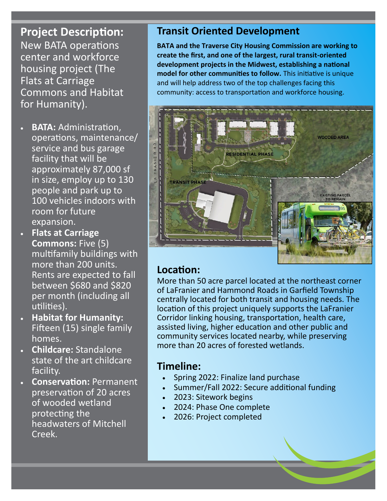## **Project Description:**

New BATA operations center and workforce housing project (The Flats at Carriage Commons and Habitat for Humanity).

- **BATA:** Administration, operations, maintenance/ service and bus garage facility that will be approximately 87,000 sf in size, employ up to 130 people and park up to 100 vehicles indoors with room for future expansion.
- **Flats at Carriage Commons:** Five (5) multifamily buildings with more than 200 units. Rents are expected to fall between \$680 and \$820 per month (including all utilities).
- **Habitat for Humanity:**  Fifteen (15) single family homes.
- **Childcare:** Standalone state of the art childcare facility.
- **Conservation:** Permanent preservation of 20 acres of wooded wetland protecting the headwaters of Mitchell Creek.

## **Transit Oriented Development**

**BATA and the Traverse City Housing Commission are working to create the first, and one of the largest, rural transit-oriented development projects in the Midwest, establishing a national model for other communities to follow.** This initiative is unique and will help address two of the top challenges facing this community: access to transportation and workforce housing.



#### **Location:**

More than 50 acre parcel located at the northeast corner of LaFranier and Hammond Roads in Garfield Township centrally located for both transit and housing needs. The location of this project uniquely supports the LaFranier Corridor linking housing, transportation, health care, assisted living, higher education and other public and community services located nearby, while preserving more than 20 acres of forested wetlands.

#### **Timeline:**

- Spring 2022: Finalize land purchase
- Summer/Fall 2022: Secure additional funding
- 2023: Sitework begins
- 2024: Phase One complete
- 2026: Project completed